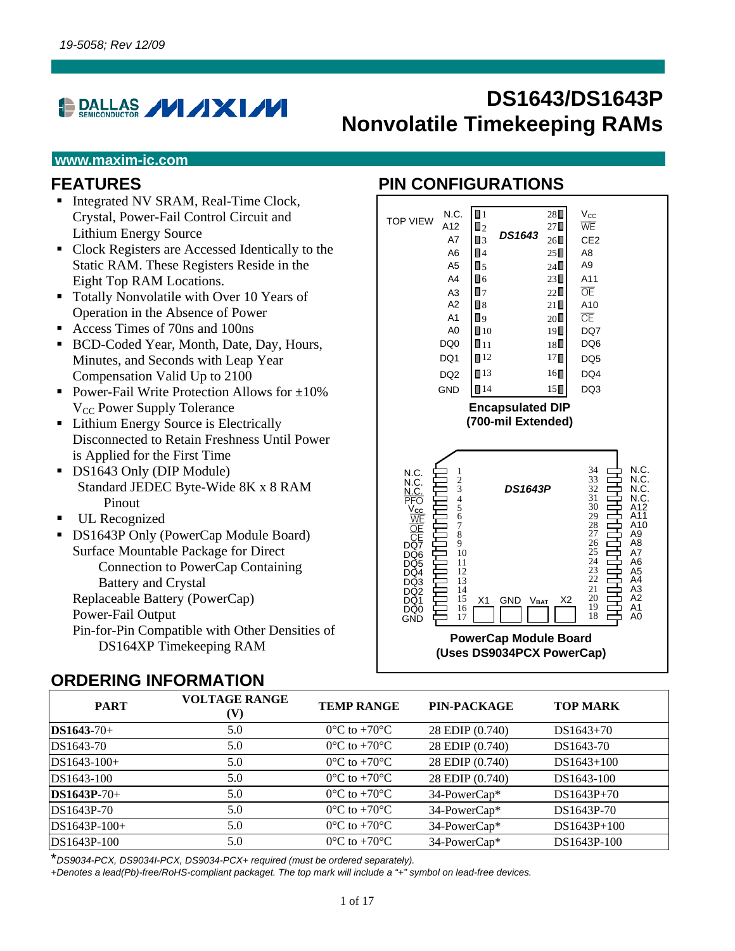# **PALLAS / / / X / / /**

# **DS1643/DS1643P Nonvolatile Timekeeping RAMs**

#### **www.maxim-ic.com**

#### **FEATURES**

- Integrated NV SRAM, Real-Time Clock, Crystal, Power-Fail Control Circuit and Lithium Energy Source
- Clock Registers are Accessed Identically to the Static RAM. These Registers Reside in the Eight Top RAM Locations.
- Totally Nonvolatile with Over 10 Years of Operation in the Absence of Power
- Access Times of 70ns and 100ns
- BCD-Coded Year, Month, Date, Day, Hours, Minutes, and Seconds with Leap Year Compensation Valid Up to 2100
- Power-Fail Write Protection Allows for  $\pm 10\%$ V<sub>CC</sub> Power Supply Tolerance
- Lithium Energy Source is Electrically Disconnected to Retain Freshness Until Power is Applied for the First Time
- DS1643 Only (DIP Module) Standard JEDEC Byte-Wide 8K x 8 RAM Pinout
- **UL Recognized**
- DS1643P Only (PowerCap Module Board) Surface Mountable Package for Direct Connection to PowerCap Containing Battery and Crystal Replaceable Battery (PowerCap) Power-Fail Output Pin-for-Pin Compatible with Other Densities of DS164XP Timekeeping RAM

#### **ORDERING INFORMATION**

### **PIN CONFIGURATIONS**



| <b>PART</b>    | <b>VOLTAGE RANGE</b><br>(V) | <b>TEMP RANGE</b>                 | PIN-PACKAGE     | <b>TOP MARK</b> |
|----------------|-----------------------------|-----------------------------------|-----------------|-----------------|
| $DS1643-70+$   | 5.0                         | $0^{\circ}$ C to +70 $^{\circ}$ C | 28 EDIP (0.740) | $DS1643+70$     |
| DS1643-70      | 5.0                         | $0^{\circ}$ C to +70 $^{\circ}$ C | 28 EDIP (0.740) | DS1643-70       |
| $DS1643-100+$  | 5.0                         | $0^{\circ}$ C to +70 $^{\circ}$ C | 28 EDIP (0.740) | $DS1643+100$    |
| DS1643-100     | 5.0                         | $0^{\circ}$ C to +70 $^{\circ}$ C | 28 EDIP (0.740) | DS1643-100      |
| $DS1643P-70+$  | 5.0                         | $0^{\circ}$ C to +70 $^{\circ}$ C | 34-PowerCap*    | $DS1643P+70$    |
| DS1643P-70     | 5.0                         | $0^{\circ}$ C to +70 $^{\circ}$ C | 34-PowerCap*    | DS1643P-70      |
| $DS1643P-100+$ | 5.0                         | $0^{\circ}$ C to +70 $^{\circ}$ C | 34-PowerCap*    | $DS1643P+100$   |
| DS1643P-100    | 5.0                         | $0^{\circ}$ C to +70 $^{\circ}$ C | 34-PowerCap*    | DS1643P-100     |

\**DS9034-PCX, DS9034I-PCX, DS9034-PCX+ required (must be ordered separately).*

*+Denotes a lead(Pb)-free/RoHS-compliant packaget. The top mark will include a "+" symbol on lead-free devices.*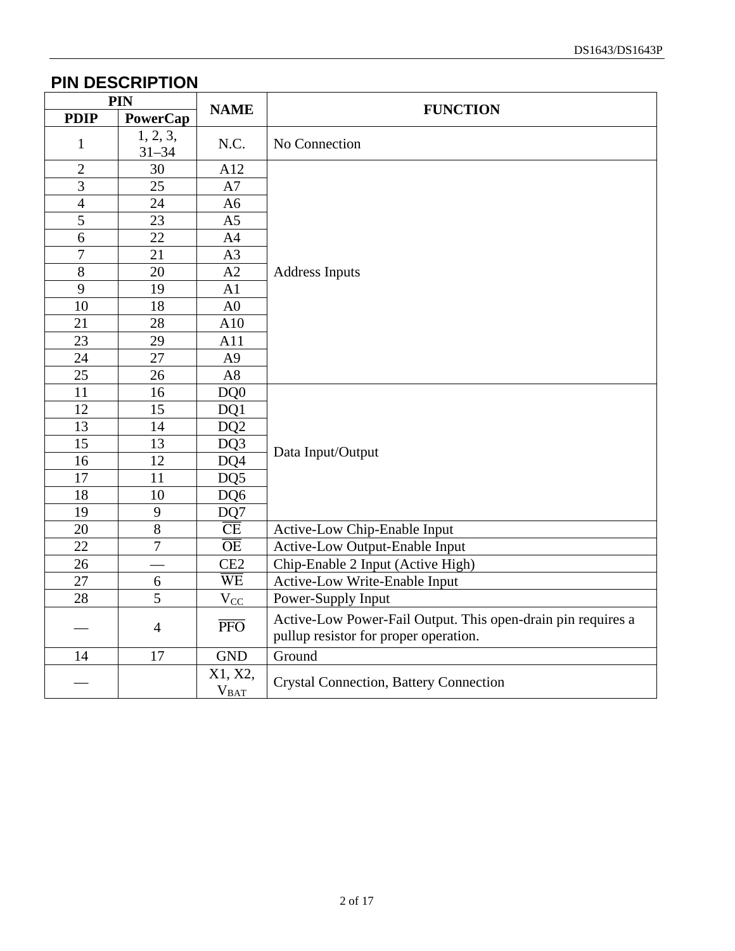#### **PIN DESCRIPTION**

| PIN            |                       | <b>NAME</b>             | <b>FUNCTION</b>                                                                                       |
|----------------|-----------------------|-------------------------|-------------------------------------------------------------------------------------------------------|
| <b>PDIP</b>    | PowerCap              |                         |                                                                                                       |
| $\mathbf{1}$   | 1, 2, 3,<br>$31 - 34$ | N.C.                    | No Connection                                                                                         |
| $\overline{2}$ | 30                    | A12                     |                                                                                                       |
| 3              | 25                    | A7                      |                                                                                                       |
| $\overline{4}$ | 24                    | A <sub>6</sub>          |                                                                                                       |
| 5              | 23                    | A <sub>5</sub>          |                                                                                                       |
| 6              | 22                    | A4                      |                                                                                                       |
| $\overline{7}$ | 21                    | A3                      |                                                                                                       |
| 8              | 20                    | A2                      | <b>Address Inputs</b>                                                                                 |
| 9              | 19                    | A1                      |                                                                                                       |
| 10             | 18                    | A <sub>0</sub>          |                                                                                                       |
| 21             | 28                    | A10                     |                                                                                                       |
| 23             | 29                    | A11                     |                                                                                                       |
| 24             | 27                    | A <sub>9</sub>          |                                                                                                       |
| 25             | 26                    | A8                      |                                                                                                       |
| 11             | 16                    | DQ0                     |                                                                                                       |
| 12             | 15                    | DQ1                     |                                                                                                       |
| 13             | 14                    | DQ <sub>2</sub>         |                                                                                                       |
| 15             | 13                    | DQ3                     | Data Input/Output                                                                                     |
| 16             | 12                    | DQ4                     |                                                                                                       |
| 17             | 11                    | DQ5                     |                                                                                                       |
| 18             | 10                    | DQ6                     |                                                                                                       |
| 19             | 9                     | DQ7                     |                                                                                                       |
| 20             | $\overline{8}$        | $\overline{\text{CE}}$  | Active-Low Chip-Enable Input                                                                          |
| 22             | $\overline{7}$        | $\overline{OE}$         | <b>Active-Low Output-Enable Input</b>                                                                 |
| 26             |                       | CE <sub>2</sub>         | Chip-Enable 2 Input (Active High)                                                                     |
| 27             | 6                     | $\overline{\text{WE}}$  | Active-Low Write-Enable Input                                                                         |
| 28             | 5                     | $V_{CC}$                | Power-Supply Input                                                                                    |
|                | $\overline{4}$        | $\overline{\text{PFO}}$ | Active-Low Power-Fail Output. This open-drain pin requires a<br>pullup resistor for proper operation. |
| 14             | 17                    | <b>GND</b>              | Ground                                                                                                |
|                |                       | X1, X2,<br>$V_{BAI}$    | <b>Crystal Connection, Battery Connection</b>                                                         |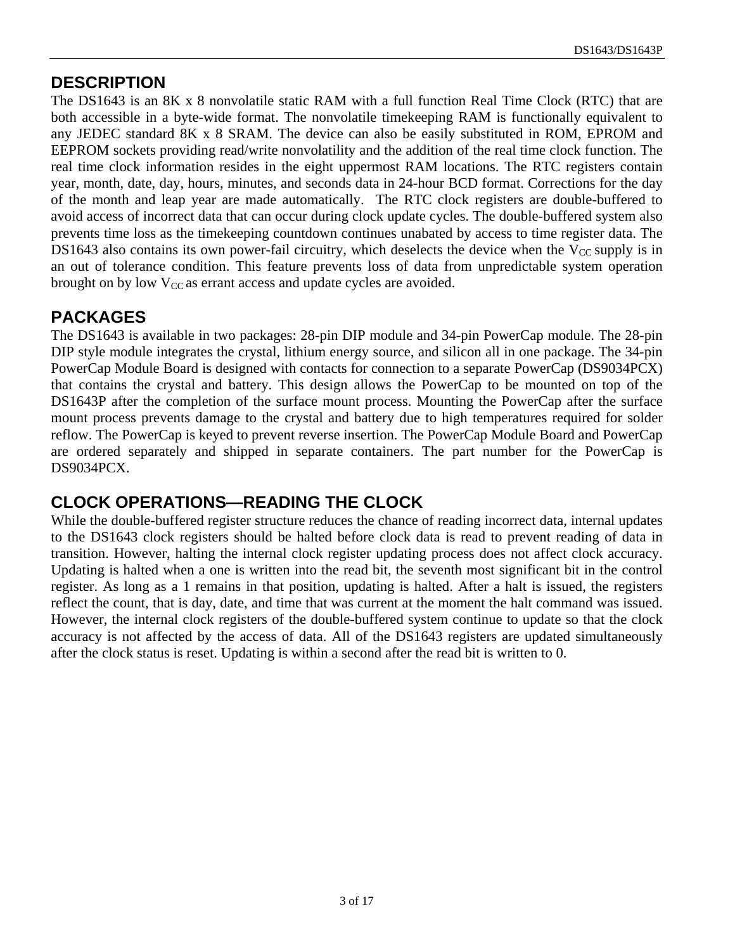#### **DESCRIPTION**

The DS1643 is an 8K x 8 nonvolatile static RAM with a full function Real Time Clock (RTC) that are both accessible in a byte-wide format. The nonvolatile timekeeping RAM is functionally equivalent to any JEDEC standard 8K x 8 SRAM. The device can also be easily substituted in ROM, EPROM and EEPROM sockets providing read/write nonvolatility and the addition of the real time clock function. The real time clock information resides in the eight uppermost RAM locations. The RTC registers contain year, month, date, day, hours, minutes, and seconds data in 24-hour BCD format. Corrections for the day of the month and leap year are made automatically. The RTC clock registers are double-buffered to avoid access of incorrect data that can occur during clock update cycles. The double-buffered system also prevents time loss as the timekeeping countdown continues unabated by access to time register data. The DS1643 also contains its own power-fail circuitry, which deselects the device when the  $V_{CC}$  supply is in an out of tolerance condition. This feature prevents loss of data from unpredictable system operation brought on by low  $V_{CC}$  as errant access and update cycles are avoided.

#### **PACKAGES**

The DS1643 is available in two packages: 28-pin DIP module and 34-pin PowerCap module. The 28-pin DIP style module integrates the crystal, lithium energy source, and silicon all in one package. The 34-pin PowerCap Module Board is designed with contacts for connection to a separate PowerCap (DS9034PCX) that contains the crystal and battery. This design allows the PowerCap to be mounted on top of the DS1643P after the completion of the surface mount process. Mounting the PowerCap after the surface mount process prevents damage to the crystal and battery due to high temperatures required for solder reflow. The PowerCap is keyed to prevent reverse insertion. The PowerCap Module Board and PowerCap are ordered separately and shipped in separate containers. The part number for the PowerCap is DS9034PCX.

#### **CLOCK OPERATIONS—READING THE CLOCK**

While the double-buffered register structure reduces the chance of reading incorrect data, internal updates to the DS1643 clock registers should be halted before clock data is read to prevent reading of data in transition. However, halting the internal clock register updating process does not affect clock accuracy. Updating is halted when a one is written into the read bit, the seventh most significant bit in the control register. As long as a 1 remains in that position, updating is halted. After a halt is issued, the registers reflect the count, that is day, date, and time that was current at the moment the halt command was issued. However, the internal clock registers of the double-buffered system continue to update so that the clock accuracy is not affected by the access of data. All of the DS1643 registers are updated simultaneously after the clock status is reset. Updating is within a second after the read bit is written to 0.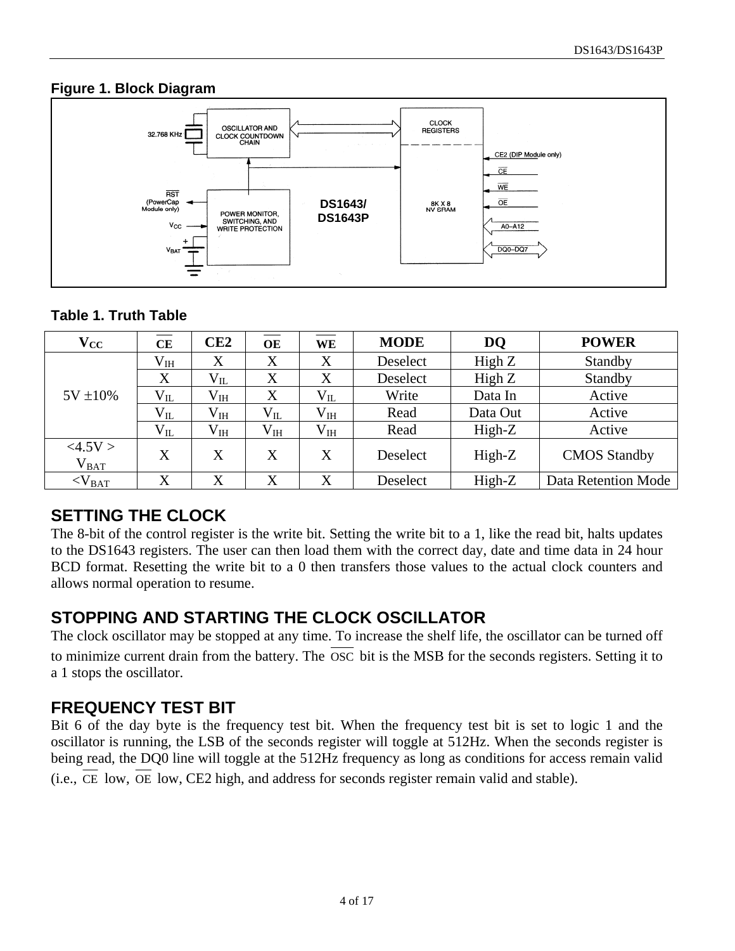#### **Figure 1. Block Diagram**



#### **Table 1. Truth Table**

| $\mathbf{V_{CC}}$    | <b>CE</b>    | CE2          | OE       | WE           | <b>MODE</b> | DQ       | <b>POWER</b>        |
|----------------------|--------------|--------------|----------|--------------|-------------|----------|---------------------|
|                      | $\rm V_{IH}$ | X            | X        | X            | Deselect    | High $Z$ | Standby             |
|                      | X            | $V_{IL}$     | X        | X            | Deselect    |          | Standby             |
| $5V \pm 10\%$        | $V_{IL}$     | $V_{IH}$     | X        | $V_{IL}$     | Write       | Data In  | Active              |
|                      | $V_{IL}$     | $\rm V_{IH}$ | $V_{IL}$ | $\rm V_{IH}$ | Read        | Data Out | Active              |
|                      | $V_{IL}$     | $\rm V_{IH}$ | $V_{IH}$ | $\rm V_{IH}$ | Read        | High-Z   | Active              |
| <4.5V><br>$V_{BAT}$  | X            | X            | X        | X            | Deselect    | High-Z   | <b>CMOS</b> Standby |
| $<$ V <sub>BAT</sub> | X            | X            | X        | X            | Deselect    | High-Z   | Data Retention Mode |

#### **SETTING THE CLOCK**

The 8-bit of the control register is the write bit. Setting the write bit to a 1, like the read bit, halts updates to the DS1643 registers. The user can then load them with the correct day, date and time data in 24 hour BCD format. Resetting the write bit to a 0 then transfers those values to the actual clock counters and allows normal operation to resume.

#### **STOPPING AND STARTING THE CLOCK OSCILLATOR**

The clock oscillator may be stopped at any time. To increase the shelf life, the oscillator can be turned off to minimize current drain from the battery. The OSC bit is the MSB for the seconds registers. Setting it to a 1 stops the oscillator.

#### **FREQUENCY TEST BIT**

Bit 6 of the day byte is the frequency test bit. When the frequency test bit is set to logic 1 and the oscillator is running, the LSB of the seconds register will toggle at 512Hz. When the seconds register is being read, the DQ0 line will toggle at the 512Hz frequency as long as conditions for access remain valid (i.e., CE low, OE low, CE2 high, and address for seconds register remain valid and stable).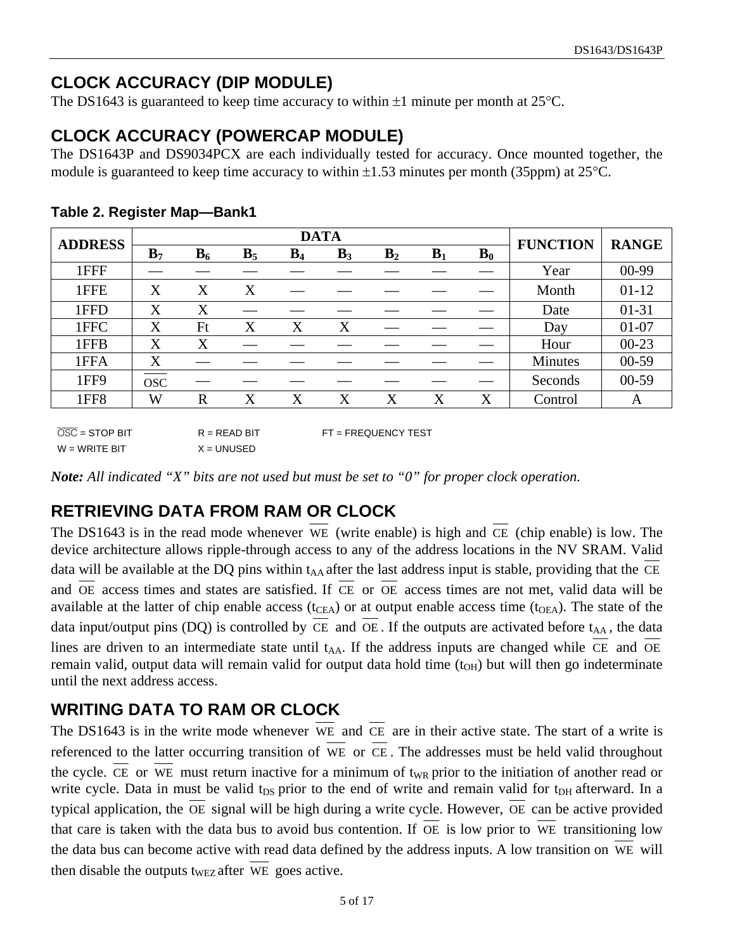### **CLOCK ACCURACY (DIP MODULE)**

The DS1643 is guaranteed to keep time accuracy to within  $\pm 1$  minute per month at 25 °C.

### **CLOCK ACCURACY (POWERCAP MODULE)**

The DS1643P and DS9034PCX are each individually tested for accuracy. Once mounted together, the module is guaranteed to keep time accuracy to within  $\pm 1.53$  minutes per month (35ppm) at 25 °C.

| <b>ADDRESS</b>   |                |       |       |       | <b>FUNCTION</b> | <b>RANGE</b> |       |                |         |           |
|------------------|----------------|-------|-------|-------|-----------------|--------------|-------|----------------|---------|-----------|
|                  | B <sub>7</sub> | $B_6$ | $B_5$ | $B_4$ | $B_3$           | $B_2$        | $B_1$ | $\mathbf{B}_0$ |         |           |
| 1FFF             |                |       |       |       |                 |              |       |                | Year    | $00-99$   |
| 1FFE             | X              | X     | X     |       |                 |              |       |                | Month   | $01-12$   |
| 1FFD             | X              | X     |       |       |                 |              |       |                | Date    | $01 - 31$ |
| 1FFC             | X              | Ft    | X     | X     | X               |              |       |                | Day     | $01-07$   |
| 1FFB             | X              | X     |       |       |                 |              |       |                | Hour    | $00-23$   |
| 1FFA             | X              |       |       |       |                 |              |       |                | Minutes | $00-59$   |
| 1FF9             | <b>OSC</b>     |       |       |       |                 |              |       |                | Seconds | $00 - 59$ |
| 1FF <sub>8</sub> | W              | R     | X     | X     | X               | X            | X     | X              | Control | A         |
|                  |                |       |       |       |                 |              |       |                |         |           |

**Table 2. Register Map—Bank1**

 $\overline{OSC}$  = STOP BIT  $R$  = READ BIT FT = FREQUENCY TEST  $W = W$ RITE BIT  $X = U$ NUSED

*Note: All indicated "X" bits are not used but must be set to "0" for proper clock operation.* 

## **RETRIEVING DATA FROM RAM OR CLOCK**

The DS1643 is in the read mode whenever WE (write enable) is high and CE (chip enable) is low. The device architecture allows ripple-through access to any of the address locations in the NV SRAM. Valid data will be available at the DQ pins within  $t_{AA}$  after the last address input is stable, providing that the CE and OE access times and states are satisfied. If CE or OE access times are not met, valid data will be available at the latter of chip enable access ( $t_{CEA}$ ) or at output enable access time ( $t_{OEA}$ ). The state of the data input/output pins (DQ) is controlled by  $\overline{CE}$  and  $\overline{OE}$ . If the outputs are activated before t<sub>AA</sub>, the data lines are driven to an intermediate state until  $t_{AA}$ . If the address inputs are changed while CE and OE remain valid, output data will remain valid for output data hold time  $(t<sub>OH</sub>)$  but will then go indeterminate until the next address access.

### **WRITING DATA TO RAM OR CLOCK**

The DS1643 is in the write mode whenever WE and CE are in their active state. The start of a write is referenced to the latter occurring transition of WE or CE . The addresses must be held valid throughout the cycle. CE or WE must return inactive for a minimum of t<sub>WR</sub> prior to the initiation of another read or write cycle. Data in must be valid t<sub>DS</sub> prior to the end of write and remain valid for t<sub>DH</sub> afterward. In a typical application, the OE signal will be high during a write cycle. However, OE can be active provided that care is taken with the data bus to avoid bus contention. If OE is low prior to WE transitioning low the data bus can become active with read data defined by the address inputs. A low transition on WE will then disable the outputs t<sub>WEZ</sub> after WE goes active.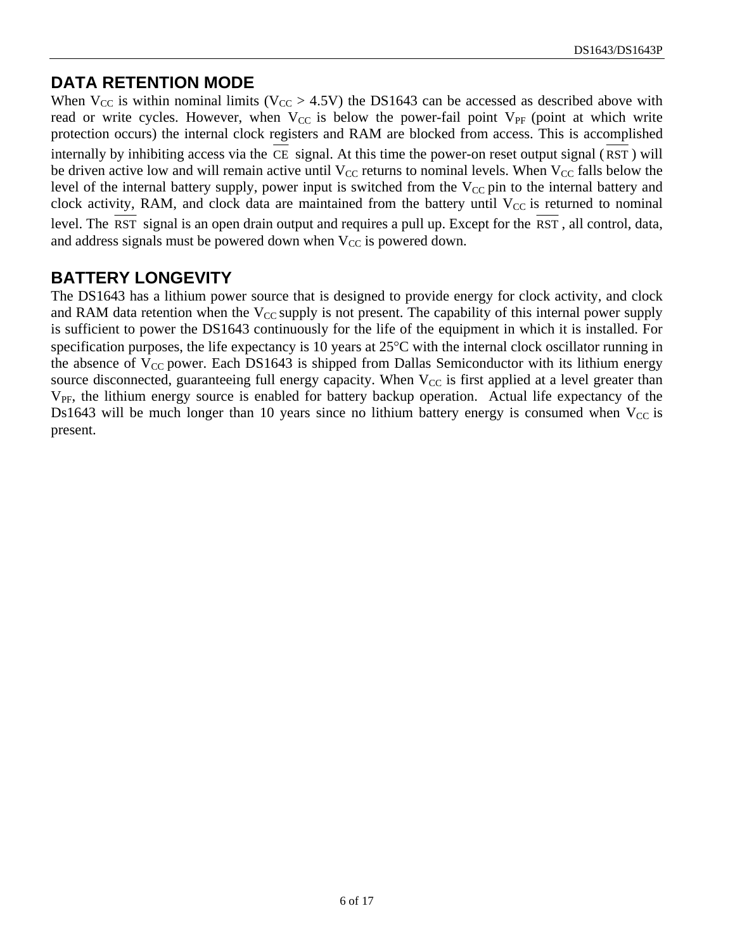#### **DATA RETENTION MODE**

When  $V_{CC}$  is within nominal limits ( $V_{CC} > 4.5V$ ) the DS1643 can be accessed as described above with read or write cycles. However, when  $V_{CC}$  is below the power-fail point  $V_{PF}$  (point at which write protection occurs) the internal clock registers and RAM are blocked from access. This is accomplished internally by inhibiting access via the CE signal. At this time the power-on reset output signal ( RST ) will be driven active low and will remain active until  $V_{CC}$  returns to nominal levels. When  $V_{CC}$  falls below the level of the internal battery supply, power input is switched from the  $V_{CC}$  pin to the internal battery and clock activity, RAM, and clock data are maintained from the battery until  $V_{CC}$  is returned to nominal level. The RST signal is an open drain output and requires a pull up. Except for the RST , all control, data, and address signals must be powered down when  $V_{CC}$  is powered down.

#### **BATTERY LONGEVITY**

The DS1643 has a lithium power source that is designed to provide energy for clock activity, and clock and RAM data retention when the  $V_{CC}$  supply is not present. The capability of this internal power supply is sufficient to power the DS1643 continuously for the life of the equipment in which it is installed. For specification purposes, the life expectancy is 10 years at  $25^{\circ}$ C with the internal clock oscillator running in the absence of  $V_{CC}$  power. Each DS1643 is shipped from Dallas Semiconductor with its lithium energy source disconnected, guaranteeing full energy capacity. When  $V_{CC}$  is first applied at a level greater than  $V_{PF}$ , the lithium energy source is enabled for battery backup operation. Actual life expectancy of the Ds1643 will be much longer than 10 years since no lithium battery energy is consumed when  $V_{CC}$  is present.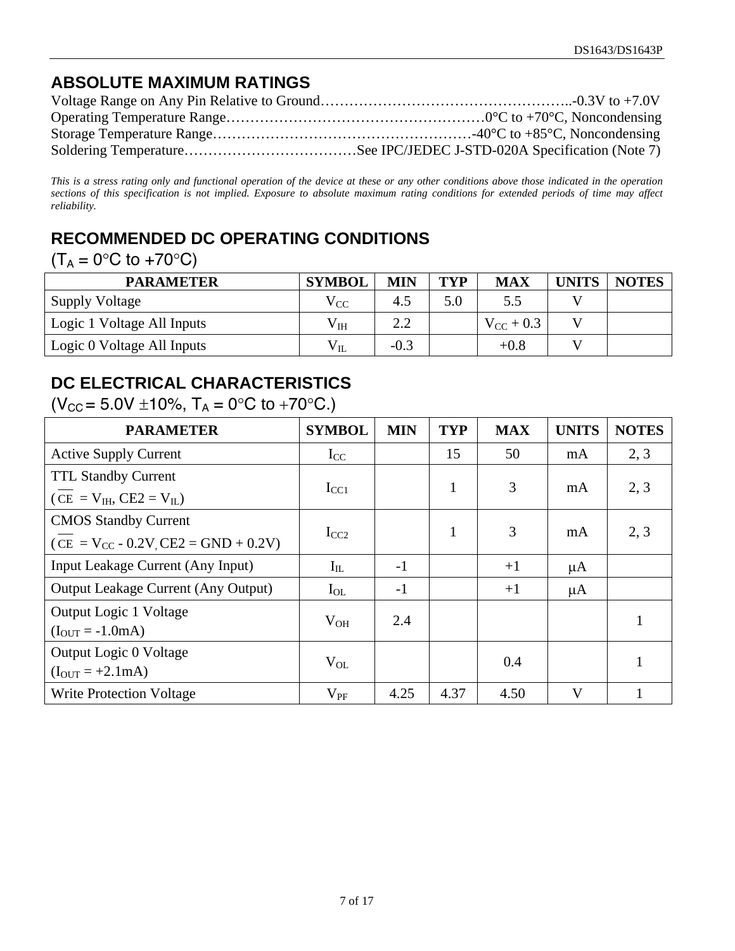### **ABSOLUTE MAXIMUM RATINGS**

*This is a stress rating only and functional operation of the device at these or any other conditions above those indicated in the operation sections of this specification is not implied. Exposure to absolute maximum rating conditions for extended periods of time may affect reliability.* 

### **RECOMMENDED DC OPERATING CONDITIONS**

#### $(T_A = 0$ °C to +70°C)

| <b>PARAMETER</b>           | <b>SYMBOL</b> | <b>MIN</b> | <b>TYP</b> | <b>MAX</b>     | UNITS | <b>NOTES</b> |
|----------------------------|---------------|------------|------------|----------------|-------|--------------|
| <b>Supply Voltage</b>      | $\rm V_{CC}$  | 4.5        | 5.0        | 5.5            |       |              |
| Logic 1 Voltage All Inputs | $\rm V_{IH}$  | 2.2        |            | $V_{CC}$ + 0.3 |       |              |
| Logic 0 Voltage All Inputs | $\rm V_{II}$  | $-0.3$     |            | $+0.8$         |       |              |

### **DC ELECTRICAL CHARACTERISTICS**

 $(V_{CC} = 5.0V \pm 10\%, T_A = 0\degree C$  to +70 $\degree C$ .)

| <b>PARAMETER</b>                           | <b>SYMBOL</b> | <b>MIN</b> | <b>TYP</b>   | <b>MAX</b> | <b>UNITS</b> | <b>NOTES</b> |
|--------------------------------------------|---------------|------------|--------------|------------|--------------|--------------|
| <b>Active Supply Current</b>               | $I_{CC}$      |            | 15           | 50         | mA           | 2, 3         |
| <b>TTL Standby Current</b>                 |               |            | $\mathbf{1}$ | 3          |              | 2, 3         |
| $(CE = V_{IH}, CE2 = V_{IL})$              | $I_{CC1}$     |            |              |            | mA           |              |
| <b>CMOS Standby Current</b>                |               |            | $\mathbf{1}$ | 3          |              | 2, 3         |
| $(CE = V_{CC} - 0.2V_{C}EE2 = GND + 0.2V)$ | $I_{CC2}$     |            |              |            | mA           |              |
| Input Leakage Current (Any Input)          | $I_{IL}$      | $-1$       |              | $+1$       | $\mu A$      |              |
| <b>Output Leakage Current (Any Output)</b> | $I_{OL}$      | $-1$       |              | $+1$       | $\mu A$      |              |
| Output Logic 1 Voltage                     | $V_{OH}$      | 2.4        |              |            |              |              |
| $(I_{OUT} = -1.0 mA)$                      |               |            |              |            |              |              |
| Output Logic 0 Voltage                     | $V_{OL}$      |            |              | 0.4        |              |              |
| $(I_{OUT} = +2.1 mA)$                      |               |            |              |            |              |              |
| <b>Write Protection Voltage</b>            | $V_{PF}$      | 4.25       | 4.37         | 4.50       | $\mathbf V$  |              |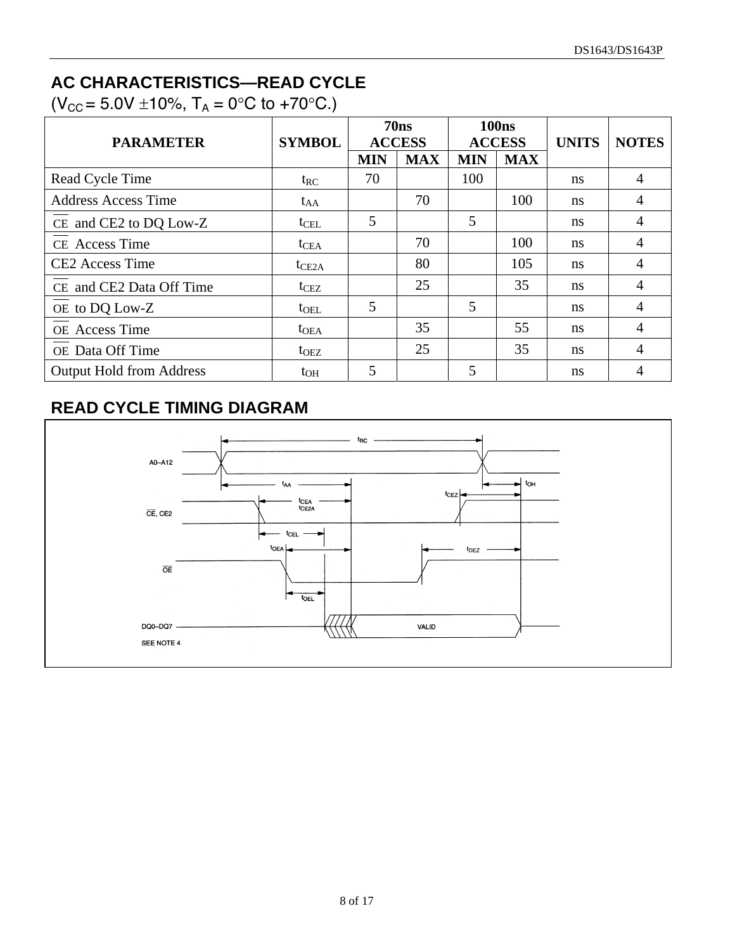### **AC CHARACTERISTICS—READ CYCLE**

 $(V_{CC} = 5.0V \pm 10\%, T_A = 0\degree C$  to +70 $\degree C$ .)

| <b>PARAMETER</b>                | <b>SYMBOL</b>    |            | 70ns<br><b>ACCESS</b> |            | <b>100ns</b><br><b>ACCESS</b> | <b>UNITS</b>  | <b>NOTES</b>   |
|---------------------------------|------------------|------------|-----------------------|------------|-------------------------------|---------------|----------------|
|                                 |                  | <b>MIN</b> | <b>MAX</b>            | <b>MIN</b> | <b>MAX</b>                    |               |                |
| Read Cycle Time                 | $t_{RC}$         | 70         |                       | 100        |                               | ns            | $\overline{4}$ |
| <b>Address Access Time</b>      | $t_{AA}$         |            | 70                    |            | 100                           | <sub>ns</sub> | 4              |
| CE and CE2 to DQ Low-Z          | $t_{\text{CEL}}$ | 5          |                       | 5          |                               | <sub>ns</sub> | $\overline{4}$ |
| CE Access Time                  | $t_{\text{CEA}}$ |            | 70                    |            | 100                           | <sub>ns</sub> | $\overline{4}$ |
| <b>CE2</b> Access Time          | $t_{CE2A}$       |            | 80                    |            | 105                           | <sub>ns</sub> | 4              |
| CE and CE2 Data Off Time        | t <sub>CEZ</sub> |            | 25                    |            | 35                            | ns            | 4              |
| OE to DQ Low-Z                  | $t_{\text{OEL}}$ | 5          |                       | 5          |                               | ns            | $\overline{4}$ |
| OE Access Time                  | $t_{OEA}$        |            | 35                    |            | 55                            | <sub>ns</sub> | $\overline{4}$ |
| OE Data Off Time                | $t_{\text{OEZ}}$ |            | 25                    |            | 35                            | ns            | $\overline{4}$ |
| <b>Output Hold from Address</b> | $t_{OH}$         | 5          |                       | 5          |                               | ns            | 4              |

## **READ CYCLE TIMING DIAGRAM**

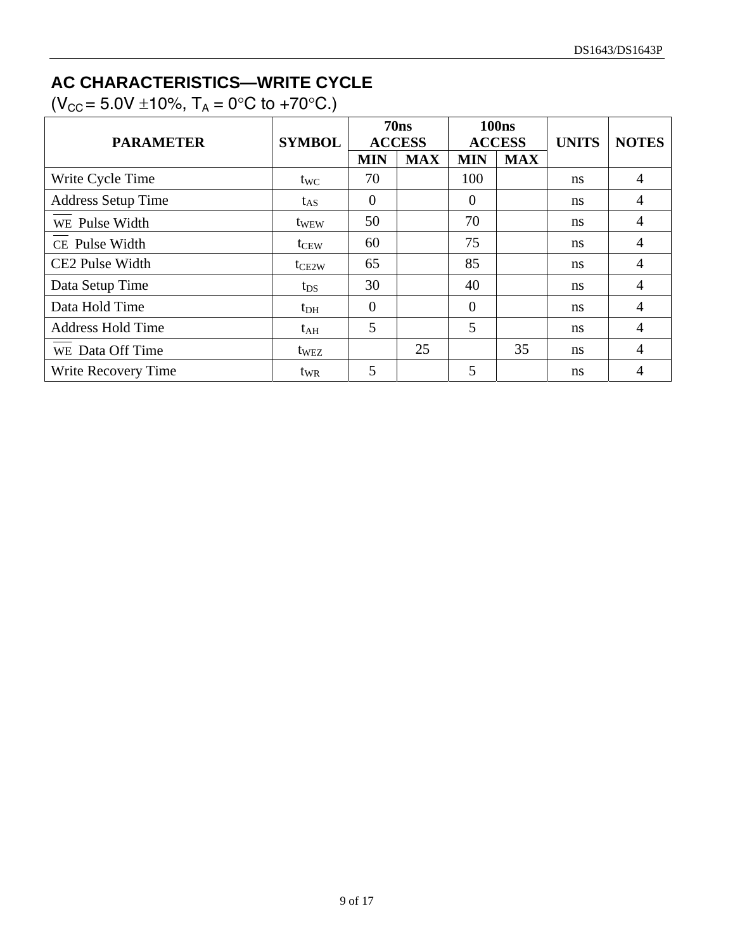## **AC CHARACTERISTICS—WRITE CYCLE**

 $(V_{CC} = 5.0V \pm 10\%, T_A = 0\degree C$  to +70 $\degree C$ .)

|                           |                  | 70ns           |               | <b>100ns</b>   |               |               |                |  |
|---------------------------|------------------|----------------|---------------|----------------|---------------|---------------|----------------|--|
| <b>PARAMETER</b>          | <b>SYMBOL</b>    |                | <b>ACCESS</b> |                | <b>ACCESS</b> | <b>UNITS</b>  | <b>NOTES</b>   |  |
|                           |                  | <b>MIN</b>     | <b>MAX</b>    | <b>MIN</b>     | <b>MAX</b>    |               |                |  |
| Write Cycle Time          | $t_{WC}$         | 70             |               | 100            |               | <sub>ns</sub> | $\overline{4}$ |  |
| <b>Address Setup Time</b> | $t_{AS}$         | 0              |               | $\overline{0}$ |               | <sub>ns</sub> | $\overline{4}$ |  |
| WE Pulse Width            | t <sub>WEW</sub> | 50             |               | 70             |               | <sub>ns</sub> | 4              |  |
| CE Pulse Width            | $t_{CEW}$        | 60             |               | 75             |               | ns            | 4              |  |
| CE2 Pulse Width           | $t_{CE2W}$       | 65             |               | 85             |               | <sub>ns</sub> | $\overline{4}$ |  |
| Data Setup Time           | $t_{DS}$         | 30             |               | 40             |               | <sub>ns</sub> | 4              |  |
| Data Hold Time            | $t_{DH}$         | $\overline{0}$ |               | $\overline{0}$ |               | <sub>ns</sub> | 4              |  |
| <b>Address Hold Time</b>  | $t_{\rm AH}$     | 5              |               | 5              |               | ns            | 4              |  |
| WE Data Off Time          | $t_{\text{WEZ}}$ |                | 25            |                | 35            | <sub>ns</sub> | $\overline{4}$ |  |
| Write Recovery Time       | t <sub>WR</sub>  | 5              |               | 5              |               | ns            |                |  |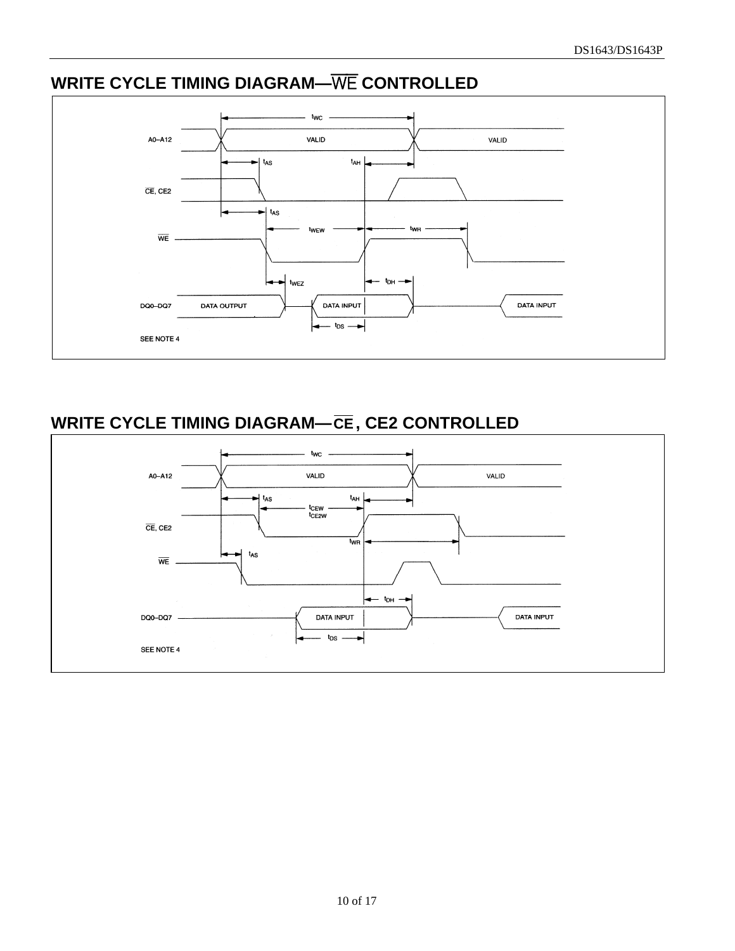# **WRITE CYCLE TIMING DIAGRAM—**WE **CONTROLLED**



# **WRITE CYCLE TIMING DIAGRAM—CE, CE2 CONTROLLED**

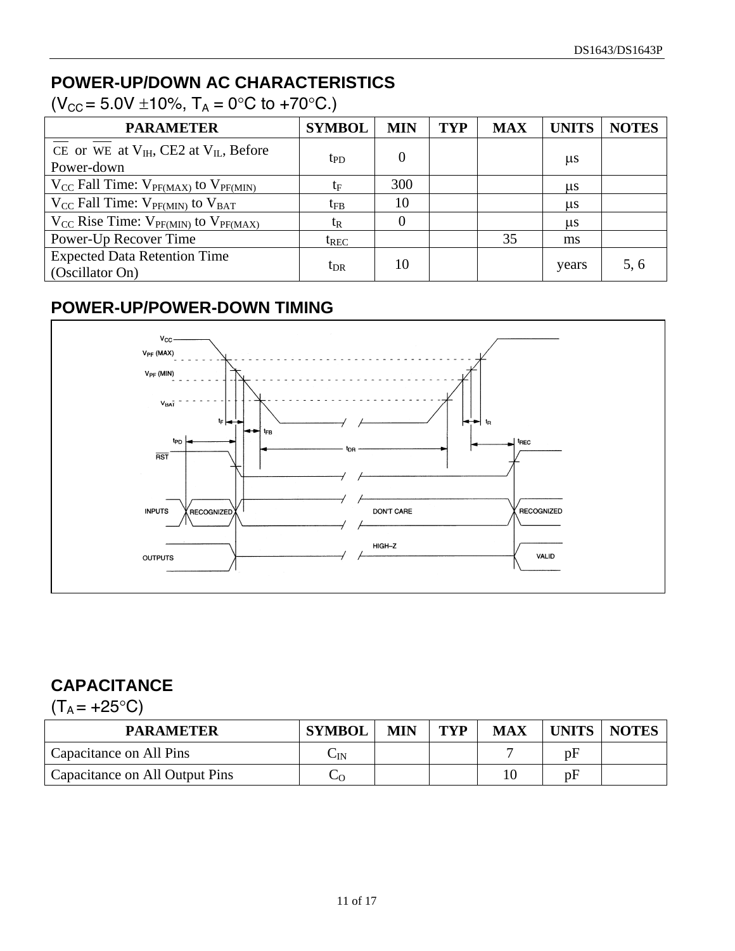# **POWER-UP/DOWN AC CHARACTERISTICS**

 $(V_{CC} = 5.0V \pm 10\%, T_A = 0\degree C$  to +70 $\degree$ C.)

| <b>PARAMETER</b>                                              | <b>SYMBOL</b>   | <b>MIN</b> | <b>TYP</b> | <b>MAX</b> | <b>UNITS</b> | <b>NOTES</b> |
|---------------------------------------------------------------|-----------------|------------|------------|------------|--------------|--------------|
| CE or WE at $V_{IH}$ , CE2 at $V_{IL}$ , Before<br>Power-down | tp <sub>D</sub> | 0          |            |            | $\mu$ s      |              |
| $V_{CC}$ Fall Time: $V_{PF(MAX)}$ to $V_{PF(MIN)}$            | $t_{\rm F}$     | 300        |            |            | $\mu$ s      |              |
| $V_{CC}$ Fall Time: $V_{PF(MIN)}$ to $V_{BAT}$                | $t_{\rm FB}$    | 10         |            |            | $\mu$ s      |              |
| $V_{CC}$ Rise Time: $V_{PF(MIN)}$ to $V_{PF(MAX)}$            | $t_{R}$         | $\theta$   |            |            | $\mu$ s      |              |
| Power-Up Recover Time                                         | $t_{REC}$       |            |            | 35         | ms           |              |
| <b>Expected Data Retention Time</b><br>(Oscillator On)        | $t_{\rm DR}$    | 10         |            |            | years        | 5, 6         |

### **POWER-UP/POWER-DOWN TIMING**



# **CAPACITANCE**

 $(T_A = +25$ °C)

| <b>PARAMETER</b>               | <b>SYMBOL</b> | <b>MIN</b> | <b>TYP</b> | <b>MAX</b> | <b>UNITS</b> | <b>NOTES</b> |
|--------------------------------|---------------|------------|------------|------------|--------------|--------------|
| Capacitance on All Pins        | $\cup$ IN     |            |            |            | pF           |              |
| Capacitance on All Output Pins |               |            |            | 10         | pF           |              |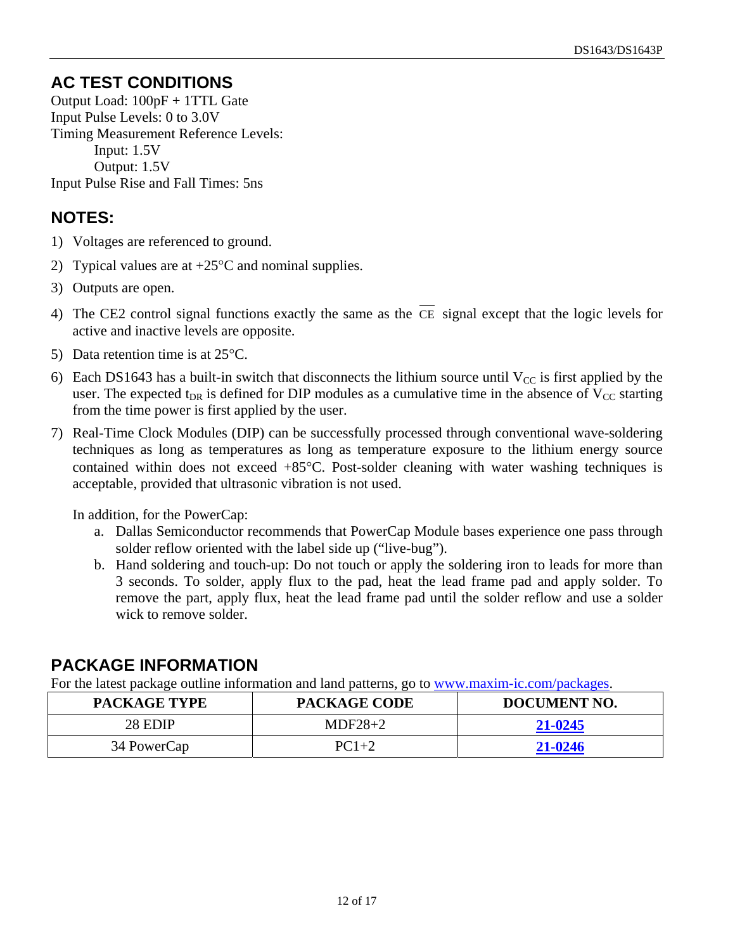### **AC TEST CONDITIONS**

Output Load: 100pF + 1TTL Gate Input Pulse Levels: 0 to 3.0V Timing Measurement Reference Levels: Input: 1.5V Output: 1.5V Input Pulse Rise and Fall Times: 5ns

### **NOTES:**

- 1) Voltages are referenced to ground.
- 2) Typical values are at  $+25^{\circ}$ C and nominal supplies.
- 3) Outputs are open.
- 4) The CE2 control signal functions exactly the same as the CE signal except that the logic levels for active and inactive levels are opposite.
- 5) Data retention time is at  $25^{\circ}$ C.
- 6) Each DS1643 has a built-in switch that disconnects the lithium source until  $V_{CC}$  is first applied by the user. The expected  $t_{DR}$  is defined for DIP modules as a cumulative time in the absence of  $V_{CC}$  starting from the time power is first applied by the user.
- 7) Real-Time Clock Modules (DIP) can be successfully processed through conventional wave-soldering techniques as long as temperatures as long as temperature exposure to the lithium energy source contained within does not exceed  $+85^{\circ}$ C. Post-solder cleaning with water washing techniques is acceptable, provided that ultrasonic vibration is not used.

In addition, for the PowerCap:

- a. Dallas Semiconductor recommends that PowerCap Module bases experience one pass through solder reflow oriented with the label side up ("live-bug").
- b. Hand soldering and touch-up: Do not touch or apply the soldering iron to leads for more than 3 seconds. To solder, apply flux to the pad, heat the lead frame pad and apply solder. To remove the part, apply flux, heat the lead frame pad until the solder reflow and use a solder wick to remove solder.

### **PACKAGE INFORMATION**

For the latest package outline information and land patterns, go to [www.maxim-ic.com/packages.](http://www.maxim-ic.com/packages)

| <b>PACKAGE TYPE</b> | <b>PACKAGE CODE</b> | DOCUMENT NO. |
|---------------------|---------------------|--------------|
| 28 EDIP             | $MDF28+2$           | 21-0245      |
| 34 PowerCap         | $PC1+2$             | 21-0246      |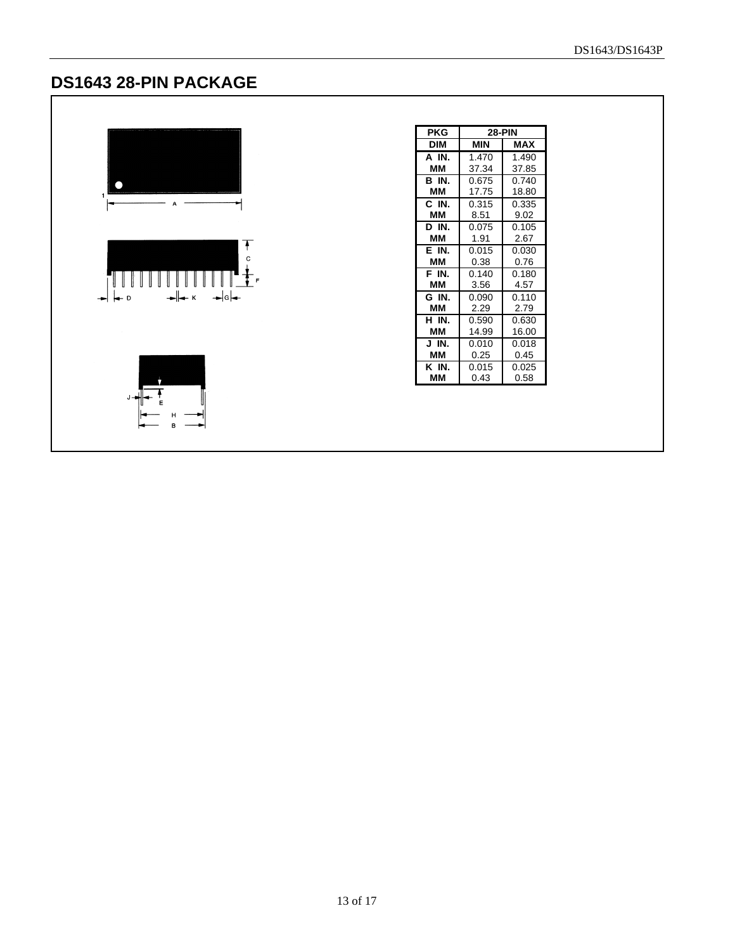### **DS1643 28-PIN PACKAGE**



| PKG        | <b>28-PIN</b> |            |
|------------|---------------|------------|
| <b>DIM</b> | MIN           | <b>MAX</b> |
| A IN.      | 1.470         | 1.490      |
| мм         | 37.34         | 37.85      |
| B IN.      | 0.675         | 0.740      |
| ΜМ         | 17.75         | 18.80      |
| C IN.      | 0.315         | 0.335      |
| мм         | 8.51          | 9.02       |
| D IN.      | 0.075         | 0.105      |
| ΜМ         | 1.91          | 2.67       |
| E IN.      | 0.015         | 0.030      |
| ΜМ         | 0.38          | 0.76       |
| F IN.      | 0.140         | 0.180      |
| ΜМ         | 3.56          | 4.57       |
| G IN       | 0.090         | 0.110      |
| мм         | 2.29          | 2.79       |
| H IN.      | 0.590         | 0.630      |
| мм         | 14.99         | 16.00      |
| J IN.      | 0.010         | 0.018      |
| ΜМ         | 0.25          | 0.45       |
| K IN       | 0.015         | 0.025      |
| ΜМ         | 0.43          | 0.58       |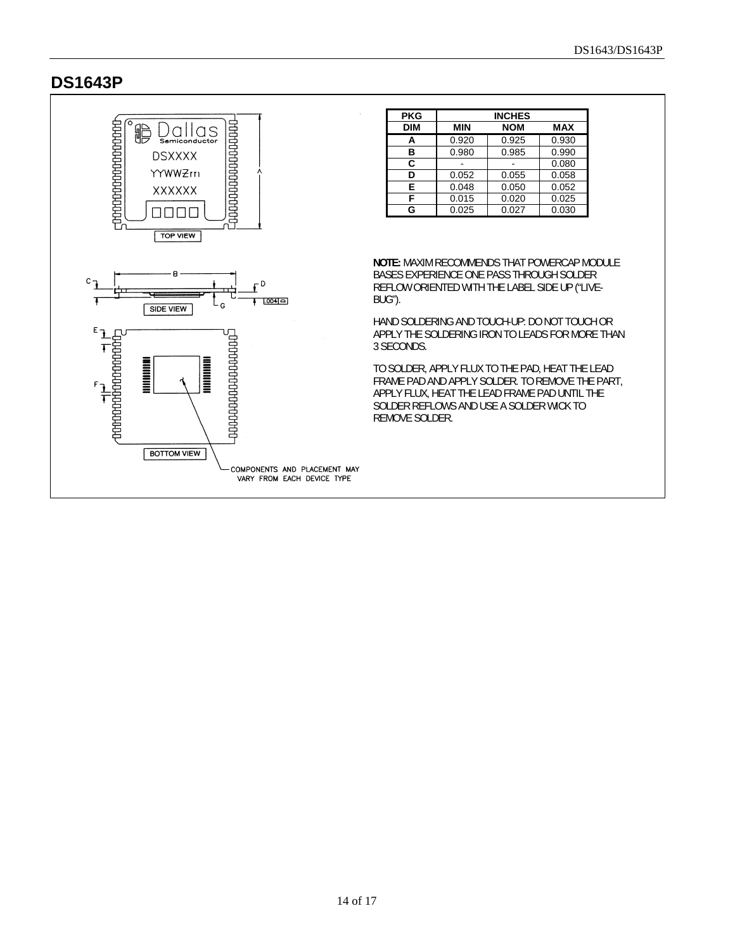#### **DS1643P**

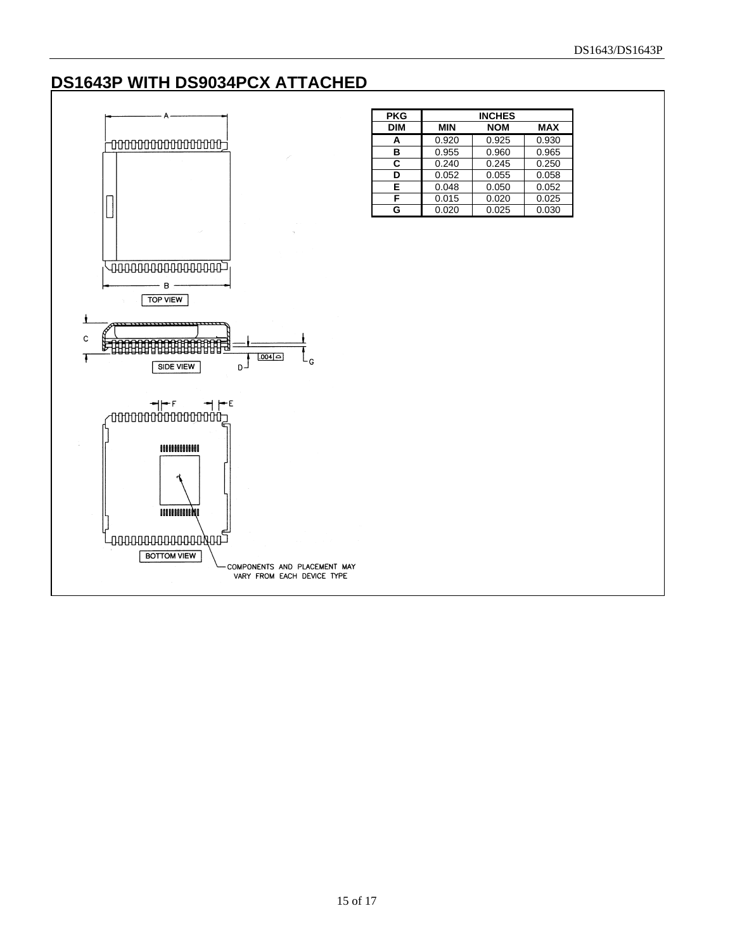#### **DS1643P WITH DS9034PCX ATTACHED**

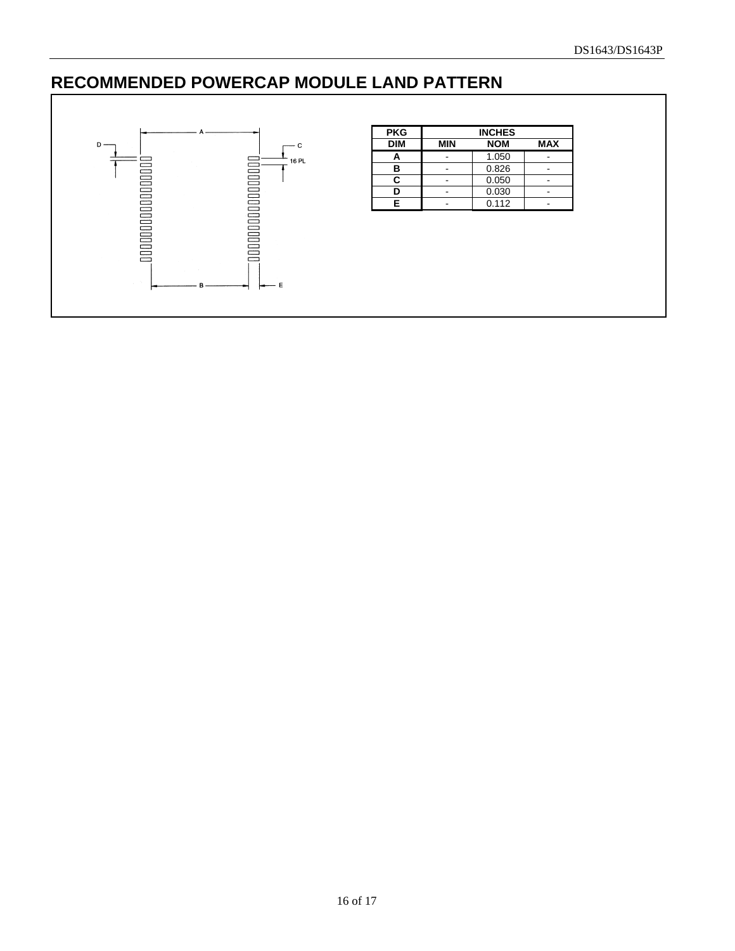### **RECOMMENDED POWERCAP MODULE LAND PATTERN**